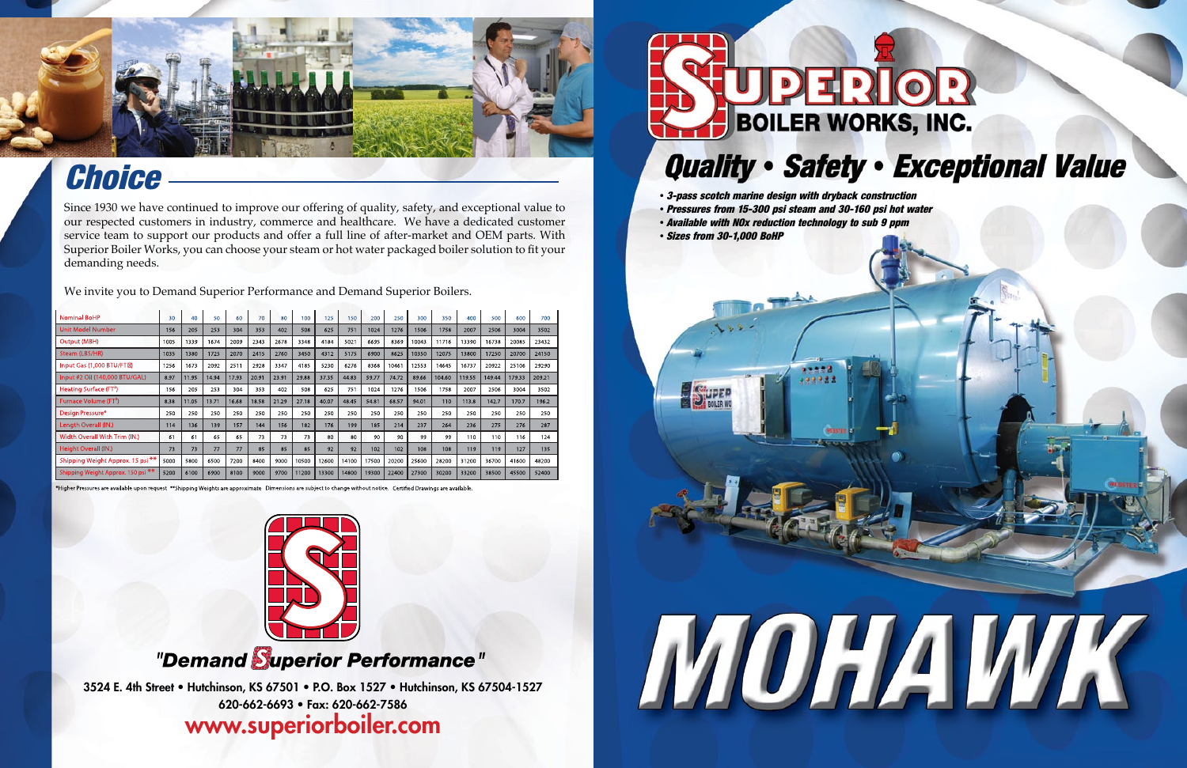3524 E. 4th Street • Hutchinson, KS 67501 • P.O. Box 1527 • Hutchinson, KS 67504-1527 620-662-6693 • Fax: 620-662-7586

### www.superiorboiler.com



- *3-pass scotch marine design with dryback construction*
- *Pressures from 15-300 psi steam and 30-160 psi hot water*
- *Available with NOx reduction technology to sub 9 ppm*
- *Sizes from 30-1,000 BoHP*





## *Choice*

Since 1930 we have continued to improve our offering of quality, safety, and exceptional value to our respected customers in industry, commerce and healthcare. We have a dedicated customer service team to support our products and offer a full line of after-market and OEM parts. With Superior Boiler Works, you can choose your steam or hot water packaged boiler solution to fit your demanding needs.

We invite you to Demand Superior Performance and Demand Superior Boilers.

| <b>Nominal BoHP</b>                          | 30   | 40    | 50    | 60    | 70    | 80    | 100   | 125   | 150   | 200   | 250   | 300   | 350    | 400    | 500    | 600    | 700    |
|----------------------------------------------|------|-------|-------|-------|-------|-------|-------|-------|-------|-------|-------|-------|--------|--------|--------|--------|--------|
| <b>Unit Model Number</b>                     | 156  | 205   | 253   | 304   | 353   | 402   | 508   | 625   | 751   | 1024  | 1276  | 1506  | 1758   | 2007   | 2506   | 3004   | 3502   |
| Output (MBH)                                 | 1005 | 1339  | 1674  | 2009  | 2343  | 2678  | 3348  | 4184  | 5021  | 6695  | 8369  | 10043 | 11716  | 13390  | 16738  | 20085  | 23432  |
| Steam (LBS/HR)                               | 1035 | 1380  | 1725  | 2070  | 2415  | 2760  | 3450  | 4312  | 5175  | 6900  | 8625  | 10350 | 12075  | 13800  | 17250  | 20700  | 24150  |
| Input Gas (1,000 BTU/FTM)                    | 1256 | 1673  | 2092  | 2511  | 2928  | 3347  | 4185  | 5230  | 6276  | 8368  | 10461 | 12553 | 14645  | 16737  | 20922  | 25106  | 29290  |
| Input #2 Oil (140,000 BTU/GAL)               | 8.97 | 11.95 | 14.94 | 17.93 | 20.91 | 23.91 | 29.88 | 37.35 | 44.83 | 59.77 | 74.72 | 89.66 | 104.60 | 119.55 | 149.44 | 179.33 | 209.21 |
| Heating Surface (FT <sup>2</sup> )           | 156  | 205   | 253   | 304   | 353   | 402   | 508   | 625   | 751   | 1024  | 1276  | 1506  | 1758   | 2007   | 2506   | 3004   | 3502   |
| Furnace Volume (FT <sup>3</sup> )            | 8.38 | 11.05 | 13.71 | 16.68 | 18.58 | 21.29 | 27.18 | 40.07 | 48.45 | 54.81 | 68.57 | 94.01 | 110    | 113.8  | 142.7  | 170.7  | 196.2  |
| Design Pressure*                             | 250  | 250   | 250   | 250   | 250   | 250   | 250   | 250   | 250   | 250   | 250   | 250   | 250    | 250    | 250    | 250    | 250    |
| Length Overall (IN.)                         | 114  | 136   | 139   | 157   | 144   | 156   | 182   | 176   | 199   | 185   | 214   | 237   | 264    | 236    | 275    | 276    | 287    |
| Width Overall With Trim (IN.)                | 61   | 61    | 65    | 65    | 73    | 73    | 73    | 80    | 80    | 90    | 90    | 99    | 99     | 110    | 110    | 116    | 124    |
| Height Overall (IN.)                         | 73   | 73    | 77    | 77    | 85    | 85    | 85    | 92    | 92    | 102   | 102   | 108   | 108    | 119    | 119    | 127    | 135    |
| Shipping Weight Approx. 15 psi <sup>**</sup> | 5000 | 5800  | 6500  | 7200  | 8400  | 9000  | 10500 | 12600 | 14100 | 17500 | 20200 | 25600 | 28200  | 31200  | 36700  | 41600  | 48200  |
| Shipping Weight Approx. 150 psi **           | 5200 | 6100  | 6900  | 8100  | 9000  | 9700  | 11200 | 13300 | 14800 | 19300 | 22400 | 27300 | 30200  | 33200  | 38500  | 45500  | 52400  |

ures are available upon request \*\*Shipping Weights are approximate Dimensions are subject to change without notice. Certified Drawings are available



#### "Demand Superior Performance"